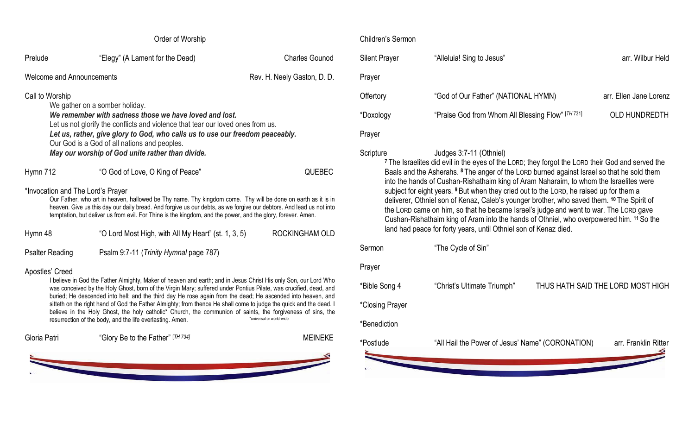|                                                                                                                                                                                                                                                                                                                                                     | Order of Worship                                                                                                                                                                                                                                                                                                                                    |                             | Chilo |
|-----------------------------------------------------------------------------------------------------------------------------------------------------------------------------------------------------------------------------------------------------------------------------------------------------------------------------------------------------|-----------------------------------------------------------------------------------------------------------------------------------------------------------------------------------------------------------------------------------------------------------------------------------------------------------------------------------------------------|-----------------------------|-------|
| Prelude                                                                                                                                                                                                                                                                                                                                             | "Elegy" (A Lament for the Dead)                                                                                                                                                                                                                                                                                                                     | <b>Charles Gounod</b>       | Siler |
| <b>Welcome and Announcements</b>                                                                                                                                                                                                                                                                                                                    |                                                                                                                                                                                                                                                                                                                                                     | Rev. H. Neely Gaston, D. D. | Pray  |
| Call to Worship                                                                                                                                                                                                                                                                                                                                     |                                                                                                                                                                                                                                                                                                                                                     |                             | Offe  |
| We gather on a somber holiday.<br>We remember with sadness those we have loved and lost.<br>Let us not glorify the conflicts and violence that tear our loved ones from us.                                                                                                                                                                         |                                                                                                                                                                                                                                                                                                                                                     |                             |       |
| Let us, rather, give glory to God, who calls us to use our freedom peaceably.<br>Our God is a God of all nations and peoples.                                                                                                                                                                                                                       |                                                                                                                                                                                                                                                                                                                                                     |                             |       |
|                                                                                                                                                                                                                                                                                                                                                     | May our worship of God unite rather than divide.                                                                                                                                                                                                                                                                                                    |                             | Scrip |
| Hymn 712                                                                                                                                                                                                                                                                                                                                            | "O God of Love, O King of Peace"                                                                                                                                                                                                                                                                                                                    | QUEBEC                      |       |
| *Invocation and The Lord's Prayer                                                                                                                                                                                                                                                                                                                   | Our Father, who art in heaven, hallowed be Thy name. Thy kingdom come. Thy will be done on earth as it is in<br>heaven. Give us this day our daily bread. And forgive us our debts, as we forgive our debtors. And lead us not into<br>temptation, but deliver us from evil. For Thine is the kingdom, and the power, and the glory, forever. Amen. |                             |       |
| Hymn 48                                                                                                                                                                                                                                                                                                                                             | "O Lord Most High, with All My Heart" (st. 1, 3, 5)                                                                                                                                                                                                                                                                                                 | ROCKINGHAM OLD              |       |
| <b>Psalter Reading</b>                                                                                                                                                                                                                                                                                                                              | Psalm 9:7-11 (Trinity Hymnal page 787)                                                                                                                                                                                                                                                                                                              |                             | Sern  |
| Apostles' Creed                                                                                                                                                                                                                                                                                                                                     |                                                                                                                                                                                                                                                                                                                                                     |                             |       |
| I believe in God the Father Almighty, Maker of heaven and earth; and in Jesus Christ His only Son, our Lord Who<br>was conceived by the Holy Ghost, born of the Virgin Mary; suffered under Pontius Pilate, was crucified, dead, and<br>buried; He descended into hell; and the third day He rose again from the dead; He ascended into heaven, and |                                                                                                                                                                                                                                                                                                                                                     |                             |       |
|                                                                                                                                                                                                                                                                                                                                                     | sitteth on the right hand of God the Father Almighty; from thence He shall come to judge the quick and the dead. I<br>believe in the Holy Ghost, the holy catholic* Church, the communion of saints, the forgiveness of sins, the                                                                                                                   |                             | *Clo: |
|                                                                                                                                                                                                                                                                                                                                                     | resurrection of the body, and the life everlasting. Amen.                                                                                                                                                                                                                                                                                           | *universal or world-wide    | *Ber  |
| Gloria Patri                                                                                                                                                                                                                                                                                                                                        | "Glory Be to the Father" [TH 734]                                                                                                                                                                                                                                                                                                                   | <b>MEINEKE</b>              | *Pos  |
|                                                                                                                                                                                                                                                                                                                                                     |                                                                                                                                                                                                                                                                                                                                                     |                             | N     |
|                                                                                                                                                                                                                                                                                                                                                     |                                                                                                                                                                                                                                                                                                                                                     |                             |       |

# dren's Sermon

| <b>Silent Prayer</b> | "Alleluia! Sing to Jesus"                                                                                                              | arr. Wilbur Held       |
|----------------------|----------------------------------------------------------------------------------------------------------------------------------------|------------------------|
| Prayer               |                                                                                                                                        |                        |
| Offertory            | "God of Our Father" (NATIONAL HYMN)                                                                                                    | arr. Ellen Jane Lorenz |
| *Doxology            | "Praise God from Whom All Blessing Flow" [TH 731]                                                                                      | <b>OLD HUNDREDTH</b>   |
| Prayer               |                                                                                                                                        |                        |
| Scripture            | Judges 3:7-11 (Othniel)<br><sup>7</sup> The Israelites did evil in the eyes of the LORD; they forgot the LORD their God and served the |                        |

Baals and the Asherahs. **<sup>8</sup>** The anger of the LORD burned against Israel so that he sold them into the hands of Cushan-Rishathaim king of Aram Naharaim, to whom the Israelites were subject for eight years. **<sup>9</sup>** But when they cried out to the LORD, he raised up for them a deliverer, Othniel son of Kenaz, Caleb's younger brother, who saved them. **<sup>10</sup>** The Spirit of the LORD came on him, so that he became Israel's judge and went to war. The LORD gave Cushan-Rishathaim king of Aram into the hands of Othniel, who overpowered him. **<sup>11</sup>** So the land had peace for forty years, until Othniel son of Kenaz died.

non "The Cycle of Sin" /er le Song 4 "Christ's Ultimate Triumph" THUS HATH SAID THE LORD MOST HIGH sing Prayer

## **hediction**